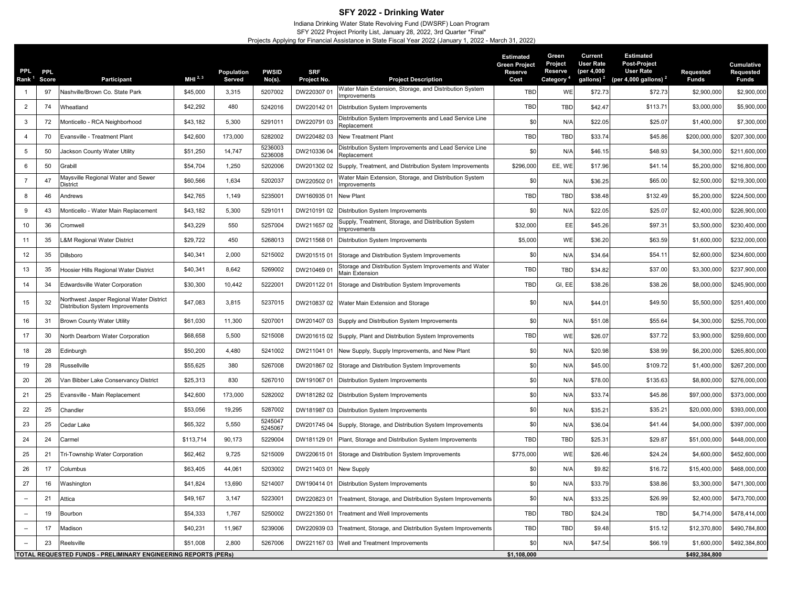## **SFY 2022 - Drinking Water**

Indiana Drinking Water State Revolving Fund (DWSRF) Loan Program

SFY 2022 Project Priority List, January 28, 2022, 3rd Quarter \*Final\*

Projects Applying for Financial Assistance in State Fiscal Year 2022 (January 1, 2022 - March 31, 2022)

| PPL.<br>Rank <sup>1</sup> | <b>PPL</b><br>Score | Participant                                                                         | MHI $^{2,3}$ | Population<br>Served | <b>PWSID</b><br>No(s). | <b>SRF</b><br>Project No. | <b>Project Description</b>                                               | <b>Estimated</b><br><b>Green Project</b><br><b>Reserve</b><br>Cost | Green<br>Project<br>Reserve<br>Category | Current<br><b>User Rate</b><br>(per 4,000<br>gallons) <sup>2</sup> | <b>Estimated</b><br>Post-Project<br><b>User Rate</b><br>(per 4,000 gallons) $2$ | Requested<br><b>Funds</b> | <b>Cumulative</b><br>Requested<br><b>Funds</b> |
|---------------------------|---------------------|-------------------------------------------------------------------------------------|--------------|----------------------|------------------------|---------------------------|--------------------------------------------------------------------------|--------------------------------------------------------------------|-----------------------------------------|--------------------------------------------------------------------|---------------------------------------------------------------------------------|---------------------------|------------------------------------------------|
| $\overline{1}$            | 97                  | Nashville/Brown Co. State Park                                                      | \$45,000     | 3,315                | 5207002                | DW220307 01               | Water Main Extension, Storage, and Distribution System<br>mprovements    | <b>TBD</b>                                                         | WE                                      | \$72.73                                                            | \$72.73                                                                         | \$2,900,000               | \$2,900,000                                    |
| $\overline{2}$            | 74                  | Wheatland                                                                           | \$42,292     | 480                  | 5242016                | DW22014201                | Distribution System Improvements                                         | TBD                                                                | TBD                                     | \$42.47                                                            | \$113.71                                                                        | \$3,000,000               | \$5,900,000                                    |
| $\mathbf{3}$              | 72                  | Monticello - RCA Neighborhood                                                       | \$43,182     | 5,300                | 5291011                | DW220791 03               | Distribution System Improvements and Lead Service Line<br>Replacement    | \$0                                                                | N/A                                     | \$22.05                                                            | \$25.07                                                                         | \$1,400,000               | \$7,300,000                                    |
| $\overline{4}$            | 70                  | Evansville - Treatment Plant                                                        | \$42,600     | 173,000              | 5282002                | DW22048203                | New Treatment Plant                                                      | <b>TBD</b>                                                         | TBD                                     | \$33.74                                                            | \$45.86                                                                         | \$200,000,000             | \$207,300,000                                  |
| 5                         | 50                  | Jackson County Water Utility                                                        | \$51,250     | 14,747               | 5236003<br>5236008     | DW210336 04               | Distribution System Improvements and Lead Service Line<br>Replacement    | \$0                                                                | N/A                                     | \$46.15                                                            | \$48.93                                                                         | \$4,300,000               | \$211,600,000                                  |
| 6                         | 50                  | Grabill                                                                             | \$54,704     | 1,250                | 5202006                | DW201302 02               | Supply, Treatment, and Distribution System Improvements                  | \$296,000                                                          | EE, WE                                  | \$17.96                                                            | \$41.14                                                                         | \$5,200,000               | \$216,800,000                                  |
| $\overline{7}$            | 47                  | Maysville Regional Water and Sewer<br>District                                      | \$60,566     | 1,634                | 5202037                | DW22050201                | Water Main Extension, Storage, and Distribution System<br>mprovements    | \$0                                                                | N/A                                     | \$36.25                                                            | \$65.00                                                                         | \$2,500,000               | \$219,300,000                                  |
| 8                         | 46                  | Andrews                                                                             | \$42,765     | 1,149                | 5235001                | DW16093501                | New Plant                                                                | <b>TBD</b>                                                         | TBD                                     | \$38.48                                                            | \$132.49                                                                        | \$5,200,000               | \$224,500,000                                  |
| 9                         | 43                  | Monticello - Water Main Replacement                                                 | \$43,182     | 5,300                | 5291011                | DW210191 02               | Distribution System Improvements                                         | \$0                                                                | N/A                                     | \$22.05                                                            | \$25.07                                                                         | \$2,400,000               | \$226,900,000                                  |
| 10                        | 36                  | Cromwell                                                                            | \$43,229     | 550                  | 5257004                | DW211657 02               | Supply, Treatment, Storage, and Distribution System<br>mprovements       | \$32,000                                                           | EE                                      | \$45.26                                                            | \$97.31                                                                         | \$3,500,000               | \$230,400,000                                  |
| 11                        | 35                  | <b>L&amp;M Regional Water District</b>                                              | \$29,722     | 450                  | 5268013                | DW21156801                | Distribution System Improvements                                         | \$5,000                                                            | WE                                      | \$36.20                                                            | \$63.59                                                                         | \$1,600,000               | \$232,000,000                                  |
| 12                        | 35                  | Dillsboro                                                                           | \$40,341     | 2,000                | 5215002                | DW20151501                | Storage and Distribution System Improvements                             | \$0                                                                | N/A                                     | \$34.64                                                            | \$54.11                                                                         | \$2,600,000               | \$234,600,000                                  |
| 13                        | 35                  | Hoosier Hills Regional Water District                                               | \$40,341     | 8,642                | 5269002                | DW21046901                | Storage and Distribution System Improvements and Water<br>Main Extension | <b>TBD</b>                                                         | TBD                                     | \$34.82                                                            | \$37.00                                                                         | \$3,300,000               | \$237,900,000                                  |
| 14                        | 34                  | Edwardsville Water Corporation                                                      | \$30,300     | 10,442               | 5222001                | DW20112201                | Storage and Distribution System Improvements                             | TBD                                                                | GI, EE                                  | \$38.26                                                            | \$38.26                                                                         | \$8,000,000               | \$245,900,000                                  |
| 15                        | 32                  | Northwest Jasper Regional Water District<br><b>Distribution System Improvements</b> | \$47,083     | 3,815                | 5237015                |                           | DW210837 02 Water Main Extension and Storage                             | \$0                                                                | N/A                                     | \$44.0'                                                            | \$49.50                                                                         | \$5,500,000               | \$251,400,000                                  |
| 16                        | 31                  | <b>Brown County Water Utility</b>                                                   | \$61,030     | 11,300               | 5207001                |                           | DW201407 03 Supply and Distribution System Improvements                  | \$0                                                                | N/A                                     | \$51.08                                                            | \$55.64                                                                         | \$4,300,000               | \$255,700,000                                  |
| 17                        | 30                  | North Dearborn Water Corporation                                                    | \$68,658     | 5,500                | 5215008                |                           | DW201615 02 Supply, Plant and Distribution System Improvements           | TBD                                                                | WE                                      | \$26.07                                                            | \$37.72                                                                         | \$3,900,000               | \$259,600,000                                  |
| 18                        | 28                  | Edinburgh                                                                           | \$50,200     | 4,480                | 5241002                |                           | DW211041 01 New Supply, Supply Improvements, and New Plant               | \$0                                                                | N/A                                     | \$20.98                                                            | \$38.99                                                                         | \$6,200,000               | \$265,800,000                                  |
| 19                        | 28                  | Russellville                                                                        | \$55,625     | 380                  | 5267008                |                           | DW201867 02 Storage and Distribution System Improvements                 | \$0                                                                | N/A                                     | \$45.00                                                            | \$109.72                                                                        | \$1,400,000               | \$267,200,000                                  |
| 20                        | 26                  | Van Bibber Lake Conservancy District                                                | \$25,313     | 830                  | 5267010                |                           | DW191067 01 Distribution System Improvements                             | \$0                                                                | N/A                                     | \$78.00                                                            | \$135.63                                                                        | \$8,800,000               | \$276,000,000                                  |
| 21                        | 25                  | Evansville - Main Replacement                                                       | \$42,600     | 173,000              | 5282002                |                           | DW181282 02 Distribution System Improvements                             | \$0                                                                | N/A                                     | \$33.74                                                            | \$45.86                                                                         | \$97,000,000              | \$373,000,000                                  |
| 22                        | 25                  | Chandler                                                                            | \$53,056     | 19,295               | 5287002                |                           | DW181987 03 Distribution System Improvements                             | \$0                                                                | N/A                                     | \$35.2'                                                            | \$35.21                                                                         | \$20,000,000              | \$393,000,000                                  |
| 23                        | 25                  | Cedar Lake                                                                          | \$65,322     | 5,550                | 5245047<br>5245067     |                           | DW201745 04 Supply, Storage, and Distribution System Improvements        | \$0                                                                | N/A                                     | \$36.04                                                            | \$41.44                                                                         | \$4,000,000               | \$397,000,000                                  |
| 24                        | 24                  | Carmel                                                                              | \$113,714    | 90,173               | 5229004                | DW18112901                | Plant, Storage and Distribution System Improvements                      | <b>TBD</b>                                                         | <b>TBD</b>                              | \$25.3                                                             | \$29.87                                                                         | \$51,000,000              | \$448,000,000                                  |
| 25                        | 21                  | Tri-Township Water Corporation                                                      | \$62,462     | 9,725                | 5215009                | DW22061501                | Storage and Distribution System Improvements                             | \$775,000                                                          | WE                                      | \$26.46                                                            | \$24.24                                                                         | \$4,600,000               | \$452,600,000                                  |
| 26                        | 17                  | Columbus                                                                            | \$63,405     | 44,061               | 5203002                | DW21140301                | <b>New Supply</b>                                                        | \$0                                                                | N/A                                     | \$9.82                                                             | \$16.72                                                                         | \$15,400,000              | \$468,000,000                                  |
| 27                        | 16                  | Washington                                                                          | \$41,824     | 13,690               | 5214007                |                           | DW190414 01 Distribution System Improvements                             | \$0                                                                | N/A                                     | \$33.79                                                            | \$38.86                                                                         | \$3,300,000               | \$471,300,000                                  |
|                           | 21                  | Attica                                                                              | \$49,167     | 3,147                | 5223001                | DW22082301                | Treatment, Storage, and Distribution System Improvements                 | \$0                                                                | N/A                                     | \$33.25                                                            | \$26.99                                                                         | \$2,400,000               | \$473,700,000                                  |
| $\sim$                    | 19                  | Bourbon                                                                             | \$54,333     | 1,767                | 5250002                | DW221350 01               | Treatment and Well Improvements                                          | <b>TBD</b>                                                         | TBD                                     | \$24.24                                                            | <b>TBD</b>                                                                      | \$4,714,000               | \$478,414,000                                  |
|                           | 17                  | Madison                                                                             | \$40,231     | 11,967               | 5239006                | DW220939 03               | Treatment, Storage, and Distribution System Improvements                 | TBD                                                                | <b>TBD</b>                              | \$9.48                                                             | \$15.12                                                                         | \$12,370,800              | \$490,784,800                                  |
|                           | 23                  | Reelsville                                                                          | \$51,008     | 2,800                | 5267006                |                           | DW221167 03 Well and Treatment Improvements                              | \$0                                                                | N/A                                     | \$47.54                                                            | \$66.19                                                                         | \$1,600,000               | \$492,384,800                                  |
|                           |                     | TOTAL REQUESTED FUNDS - PRELIMINARY ENGINEERING REPORTS (PERS)                      |              |                      |                        |                           |                                                                          | \$1,108,000                                                        |                                         |                                                                    |                                                                                 | \$492,384,800             |                                                |